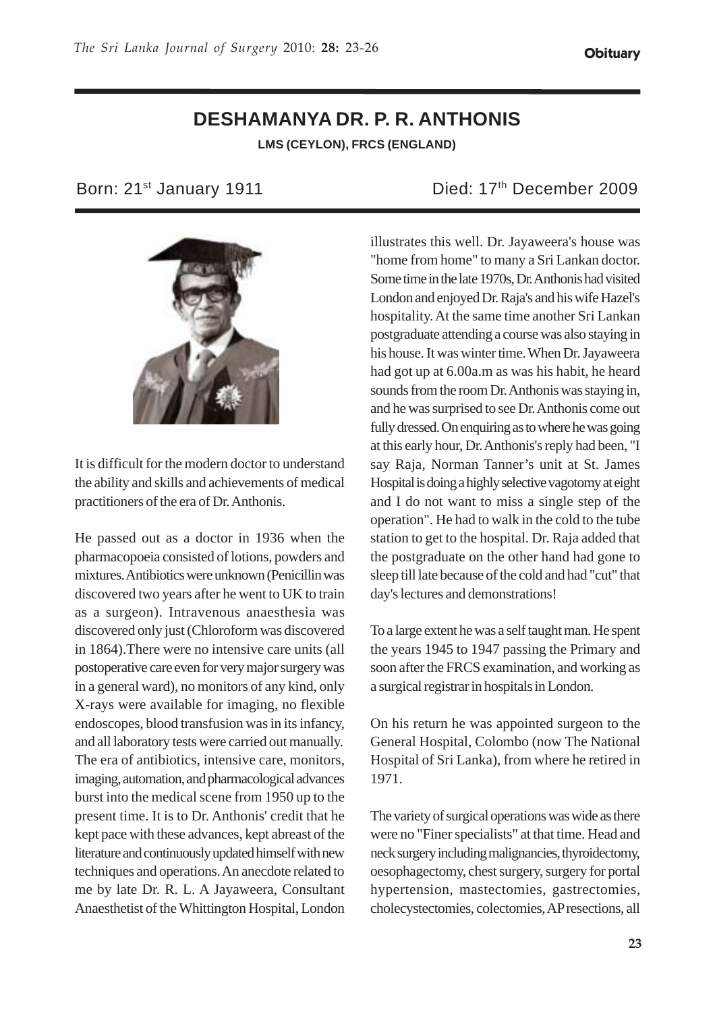## **DESHAMANYA DR. P. R. ANTHONIS LMS (CEYLON), FRCS (ENGLAND)**



It is difficult for the modern doctor to understand the ability and skills and achievements of medical practitioners of the era of Dr. Anthonis.

He passed out as a doctor in 1936 when the pharmacopoeia consisted of lotions, powders and mixtures. Antibiotics were unknown (Penicillin was discovered two years after he went to UK to train as a surgeon). Intravenous anaesthesia was discovered only just (Chloroform was discovered in 1864).There were no intensive care units (all postoperative care even for very major surgery was in a general ward), no monitors of any kind, only X-rays were available for imaging, no flexible endoscopes, blood transfusion was in its infancy, and all laboratory tests were carried out manually. The era of antibiotics, intensive care, monitors, imaging, automation, and pharmacological advances burst into the medical scene from 1950 up to the present time. It is to Dr. Anthonis' credit that he kept pace with these advances, kept abreast of the literature and continuously updated himself with new techniques and operations. An anecdote related to me by late Dr. R. L. A Jayaweera, Consultant Anaesthetist of the Whittington Hospital, London

Born: 21<sup>st</sup> January 1911 **Died: 17<sup>th</sup> December 2009** 

illustrates this well. Dr. Jayaweera's house was "home from home" to many a Sri Lankan doctor. Some time in the late 1970s, Dr. Anthonis had visited London and enjoyed Dr. Raja's and his wife Hazel's hospitality. At the same time another Sri Lankan postgraduate attending a course was also staying in his house. It was winter time. When Dr. Jayaweera had got up at 6.00a.m as was his habit, he heard sounds from the room Dr. Anthonis was staying in, and he was surprised to see Dr. Anthonis come out fully dressed. On enquiring as to where he was going at this early hour, Dr. Anthonis's reply had been, "I say Raja, Norman Tanner's unit at St. James Hospital is doing a highly selective vagotomy at eight and I do not want to miss a single step of the operation". He had to walk in the cold to the tube station to get to the hospital. Dr. Raja added that the postgraduate on the other hand had gone to sleep till late because of the cold and had "cut" that day's lectures and demonstrations!

To a large extent he was a self taught man. He spent the years 1945 to 1947 passing the Primary and soon after the FRCS examination, and working as a surgical registrar in hospitals in London.

On his return he was appointed surgeon to the General Hospital, Colombo (now The National Hospital of Sri Lanka), from where he retired in 1971.

The variety of surgical operations was wide as there were no "Finer specialists" at that time. Head and neck surgery including malignancies, thyroidectomy, oesophagectomy, chest surgery, surgery for portal hypertension, mastectomies, gastrectomies, cholecystectomies, colectomies, AP resections, all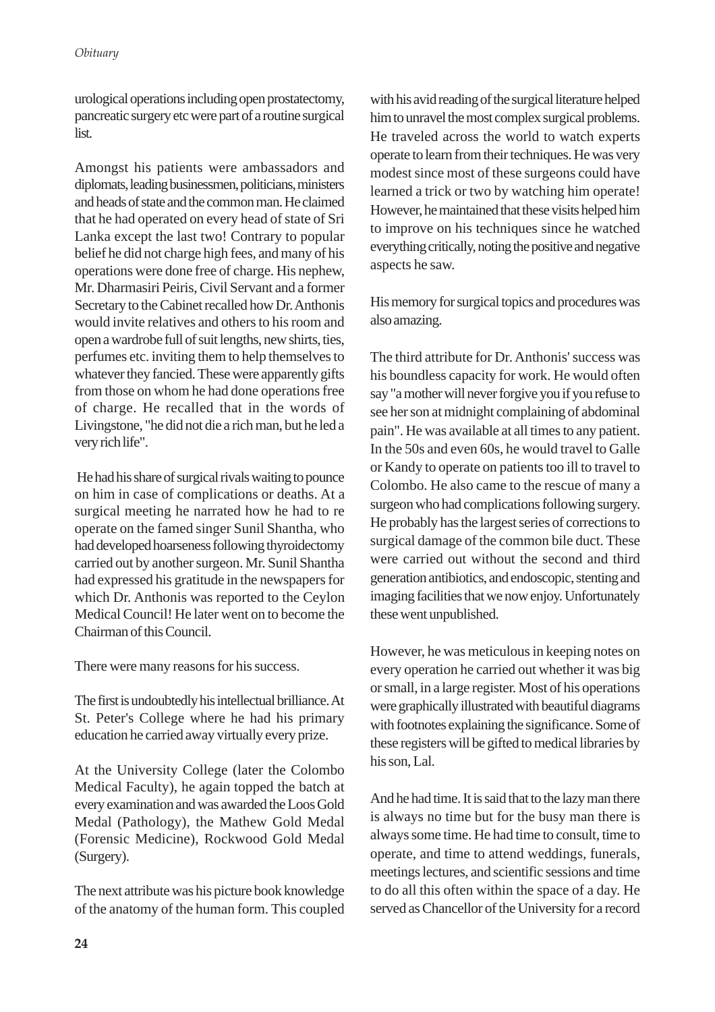urological operations including open prostatectomy, pancreatic surgery etc were part of a routine surgical list.

Amongst his patients were ambassadors and diplomats, leading businessmen, politicians, ministers and heads of state and the common man. He claimed that he had operated on every head of state of Sri Lanka except the last two! Contrary to popular belief he did not charge high fees, and many of his operations were done free of charge. His nephew, Mr. Dharmasiri Peiris, Civil Servant and a former Secretary to the Cabinet recalled how Dr. Anthonis would invite relatives and others to his room and open a wardrobe full of suit lengths, new shirts, ties, perfumes etc. inviting them to help themselves to whatever they fancied. These were apparently gifts from those on whom he had done operations free of charge. He recalled that in the words of Livingstone, "he did not die a rich man, but he led a very rich life".

 He had his share of surgical rivals waiting to pounce on him in case of complications or deaths. At a surgical meeting he narrated how he had to re operate on the famed singer Sunil Shantha, who had developed hoarseness following thyroidectomy carried out by another surgeon. Mr. Sunil Shantha had expressed his gratitude in the newspapers for which Dr. Anthonis was reported to the Ceylon Medical Council! He later went on to become the Chairman of this Council.

There were many reasons for his success.

The first is undoubtedly his intellectual brilliance. At St. Peter's College where he had his primary education he carried away virtually every prize.

At the University College (later the Colombo Medical Faculty), he again topped the batch at every examination and was awarded the Loos Gold Medal (Pathology), the Mathew Gold Medal (Forensic Medicine), Rockwood Gold Medal (Surgery).

The next attribute was his picture book knowledge of the anatomy of the human form. This coupled with his avid reading of the surgical literature helped him to unravel the most complex surgical problems. He traveled across the world to watch experts operate to learn from their techniques. He was very modest since most of these surgeons could have learned a trick or two by watching him operate! However, he maintained that these visits helped him to improve on his techniques since he watched everything critically, noting the positive and negative aspects he saw.

His memory for surgical topics and procedures was also amazing.

The third attribute for Dr. Anthonis' success was his boundless capacity for work. He would often say "a mother will never forgive you if you refuse to see her son at midnight complaining of abdominal pain". He was available at all times to any patient. In the 50s and even 60s, he would travel to Galle or Kandy to operate on patients too ill to travel to Colombo. He also came to the rescue of many a surgeon who had complications following surgery. He probably has the largest series of corrections to surgical damage of the common bile duct. These were carried out without the second and third generation antibiotics, and endoscopic, stenting and imaging facilities that we now enjoy. Unfortunately these went unpublished.

However, he was meticulous in keeping notes on every operation he carried out whether it was big or small, in a large register. Most of his operations were graphically illustrated with beautiful diagrams with footnotes explaining the significance. Some of these registers will be gifted to medical libraries by his son, Lal.

And he had time. It is said that to the lazy man there is always no time but for the busy man there is always some time. He had time to consult, time to operate, and time to attend weddings, funerals, meetings lectures, and scientific sessions and time to do all this often within the space of a day. He served as Chancellor of the University for a record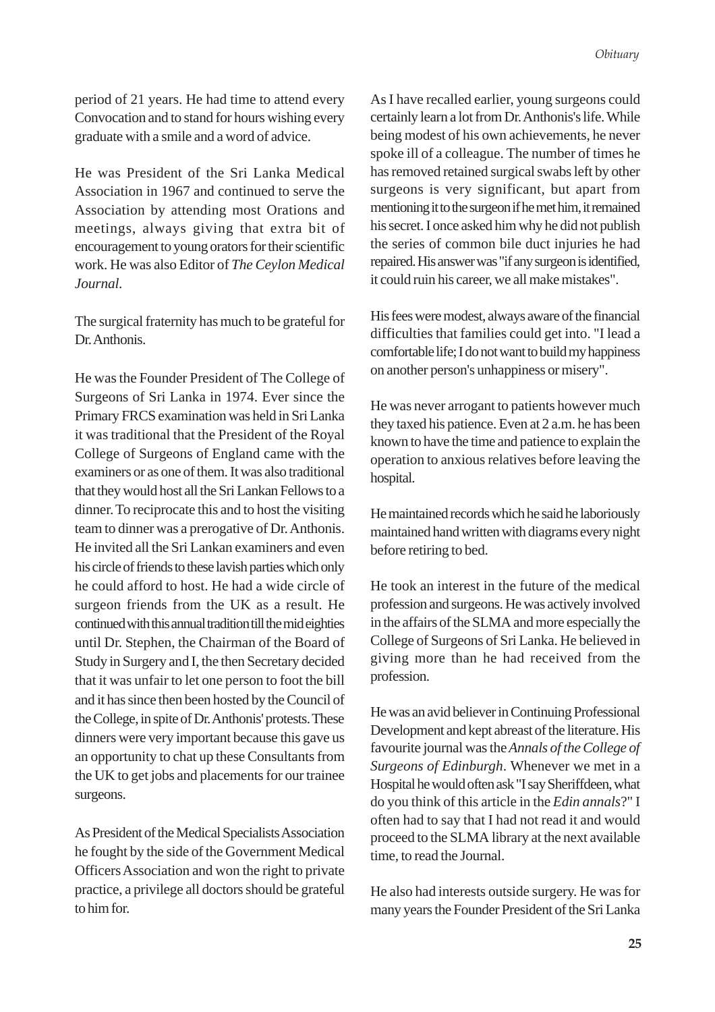period of 21 years. He had time to attend every Convocation and to stand for hours wishing every graduate with a smile and a word of advice.

He was President of the Sri Lanka Medical Association in 1967 and continued to serve the Association by attending most Orations and meetings, always giving that extra bit of encouragement to young orators for their scientific work. He was also Editor of *The Ceylon Medical Journal.*

The surgical fraternity has much to be grateful for Dr. Anthonis.

He was the Founder President of The College of Surgeons of Sri Lanka in 1974. Ever since the Primary FRCS examination was held in Sri Lanka it was traditional that the President of the Royal College of Surgeons of England came with the examiners or as one of them. It was also traditional that they would host all the Sri Lankan Fellows to a dinner. To reciprocate this and to host the visiting team to dinner was a prerogative of Dr. Anthonis. He invited all the Sri Lankan examiners and even his circle of friends to these lavish parties which only he could afford to host. He had a wide circle of surgeon friends from the UK as a result. He continued with this annual tradition till the mid eighties until Dr. Stephen, the Chairman of the Board of Study in Surgery and I, the then Secretary decided that it was unfair to let one person to foot the bill and it has since then been hosted by the Council of the College, in spite of Dr. Anthonis' protests. These dinners were very important because this gave us an opportunity to chat up these Consultants from the UK to get jobs and placements for our trainee surgeons.

As President of the Medical Specialists Association he fought by the side of the Government Medical Officers Association and won the right to private practice, a privilege all doctors should be grateful to him for.

As I have recalled earlier, young surgeons could certainly learn a lot from Dr. Anthonis's life. While being modest of his own achievements, he never spoke ill of a colleague. The number of times he has removed retained surgical swabs left by other surgeons is very significant, but apart from mentioning it to the surgeon if he met him, it remained his secret. I once asked him why he did not publish the series of common bile duct injuries he had repaired. His answer was "if any surgeon is identified, it could ruin his career, we all make mistakes".

His fees were modest, always aware of the financial difficulties that families could get into. "I lead a comfortable life; I do not want to build my happiness on another person's unhappiness or misery".

He was never arrogant to patients however much they taxed his patience. Even at 2 a.m. he has been known to have the time and patience to explain the operation to anxious relatives before leaving the hospital.

He maintained records which he said he laboriously maintained hand written with diagrams every night before retiring to bed.

He took an interest in the future of the medical profession and surgeons. He was actively involved in the affairs of the SLMA and more especially the College of Surgeons of Sri Lanka. He believed in giving more than he had received from the profession.

He was an avid believer in Continuing Professional Development and kept abreast of the literature. His favourite journal was the *Annals of the College of Surgeons of Edinburgh*. Whenever we met in a Hospital he would often ask "I say Sheriffdeen, what do you think of this article in the *Edin annals*?" I often had to say that I had not read it and would proceed to the SLMA library at the next available time, to read the Journal.

He also had interests outside surgery. He was for many years the Founder President of the Sri Lanka